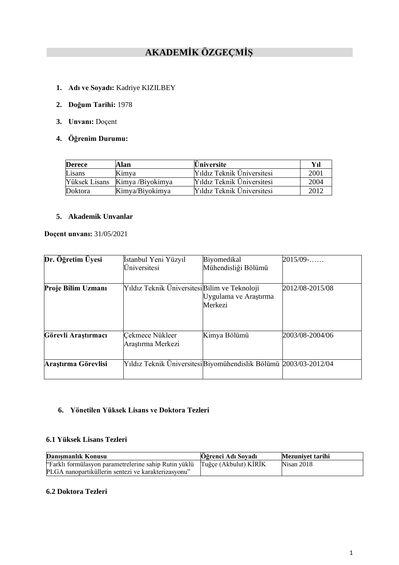# **AKADEMİK ÖZGEÇMİŞ**

- **1. Adı ve Soyadı:** Kadriye KIZILBEY
- **2. Doğum Tarihi:** 1978
- **3. Unvanı:** Doçent
- **4. Öğrenim Durumu:**

| <b>Derece</b> | Alan             | <b>Üniversite</b>          | Vıl  |
|---------------|------------------|----------------------------|------|
| Lisans        | Kimya            | Yıldız Teknik Üniversitesi | 2001 |
| Yüksek Lisans | Kimya /Biyokimya | Yıldız Teknik Üniversitesi | 2004 |
| Doktora       | Kimya/Biyokimya  | Yıldız Teknik Üniversitesi | 2012 |

## **5. Akademik Unvanlar**

**Doçent unvanı:** 31/05/2021

| Dr. Öğretim Üyesi   | İstanbul Yeni Yüzyıl<br>Üniversitesi          | Biyomedikal<br>Mühendisliği Bölümü                                | $2015/09$ -     |
|---------------------|-----------------------------------------------|-------------------------------------------------------------------|-----------------|
| Proje Bilim Uzmanı  | Yıldız Teknik Üniversitesi Bilim ve Teknoloji | Uygulama ve Araştırma<br>Merkezi                                  | 2012/08-2015/08 |
| Görevli Araştırmacı | Çekmece Nükleer<br>Arastırma Merkezi          | Kimya Bölümü                                                      | 2003/08-2004/06 |
| Arastırma Görevlisi |                                               | Yıldız Teknik Üniversitesi Biyomühendislik Bölümü 2003/03-2012/04 |                 |

## **6. Yönetilen Yüksek Lisans ve Doktora Tezleri**

## **6.1 Yüksek Lisans Tezleri**

| Danismanlık Konusu                                                          | Öğrenci Adı Soyadı | Mezunivet tarihi |
|-----------------------------------------------------------------------------|--------------------|------------------|
| "Farklı formülasyon parametrelerine sahip Rutin yüklü Tuğçe (Akbulut) KİRİK |                    | Nisan 2018       |
| PLGA nanopartiküllerin sentezi ve karakterizasvonu"                         |                    |                  |

## **6.2 Doktora Tezleri**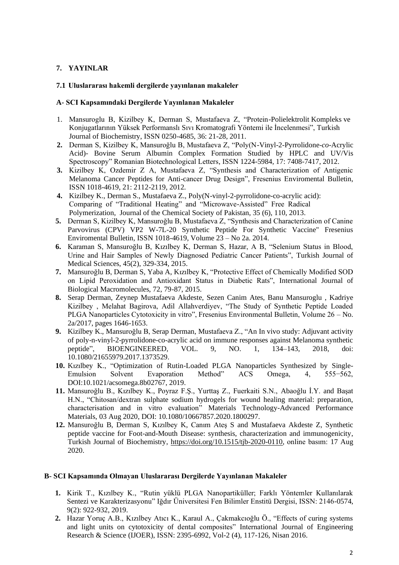## **7. YAYINLAR**

## **7.1 Uluslararası hakemli dergilerde yayınlanan makaleler**

#### **A- SCI Kapsamındaki Dergilerde Yayınlanan Makaleler**

- 1. Mansuroglu B, Kizilbey K, Derman S, Mustafaeva Z, "Protein-Polielektrolit Kompleks ve Konjugatlarının Yüksek Performanslı Sıvı Kromatografi Yöntemi ile İncelenmesi", Turkish Journal of Biochemistry, ISSN 0250-4685, 36: 21-28, 2011.
- **2.** Derman S, Kizilbey K, Mansuroğlu B, Mustafaeva Z, "Poly(N-Vinyl-2-Pyrrolidone-*co*-Acrylic Acid)- Bovine Serum Albumin Complex Formation Studied by HPLC and UV/Vis Spectroscopy" Romanian Biotechnological Letters, ISSN 1224-5984, 17: 7408-7417, 2012.
- **3.** Kizilbey K, Ozdemir Z A, Mustafaeva Z, "Synthesis and Characterization of Antigenic Melanoma Cancer Peptides for Anti-cancer Drug Design", Fresenius Enviromental Bulletin, ISSN 1018-4619, 21: 2112-2119, 2012.
- **4.** Kizilbey K., Derman S., Mustafaeva Z., Poly(N-vinyl-2-pyrrolidone-co-acrylic acid): Comparing of "Traditional Heating" and "Microwave-Assisted" Free Radical Polymerization, Journal of the Chemical Society of Pakistan, 35 (6), 110, 2013.
- **5.** Derman S, Kizilbey K, Mansuroğlu B, Mustafaeva Z, "Synthesis and Characterization of Canine Parvovirus (CPV) VP2 W-7L-20 Synthetic Peptide For Synthetic Vaccine" Fresenius Enviromental Bulletin, ISSN 1018-4619, Volume 23 – No 2a. 2014.
- **6.** Karaman S, Mansuroğlu B, Kızılbey K, Derman S, Hazar, A B, "Selenium Status in Blood, Urine and Hair Samples of Newly Diagnosed Pediatric Cancer Patients", Turkish Journal of Medical Sciences, 45(2), 329-334, 2015.
- **7.** Mansuroğlu B, Derman S, Yaba A, Kızılbey K, "Protective Effect of Chemically Modified SOD on Lipid Peroxidation and Antioxidant Status in Diabetic Rats", International Journal of Biological Macromolecules, 72, 79-87, 2015.
- **8.** Serap Derman, Zeynep Mustafaeva Akdeste, Sezen Canim Ates, Banu Mansuroglu , Kadriye Kizilbey , Melahat Bagirova, Adil Allahverdiyev, "The Study of Synthetic Peptide Loaded PLGA Nanoparticles Cytotoxicity in vitro", Fresenius Environmental Bulletin, Volume 26 – No. 2a/2017, pages 1646-1653.
- **9.** Kizilbey K., Mansuroğlu B, Serap Derman, Mustafaeva Z., "An In vivo study: Adjuvant activity of poly-n-vinyl-2-pyrrolidone-co-acrylic acid on immune responses against Melanoma synthetic peptide", BIOENGINEERED, VOL. 9, NO. 1, 134–143, 2018, doi: 10.1080/21655979.2017.1373529.
- **10.** Kızılbey K., "Optimization of Rutin-Loaded PLGA Nanoparticles Synthesized by Single-Emulsion Solvent Evaporation Method" ACS Omega, 4, 555−562, DOI:10.1021/acsomega.8b02767, 2019.
- **11.** Mansuroğlu B., Kızılbey K., Poyraz F.Ş., Yurttaş Z., Fuerkaiti S.N., Abaoğlu İ.Y. and Başat H.N., "Chitosan/dextran sulphate sodium hydrogels for wound healing material: preparation, characterisation and in vitro evaluation" Materials Technology-Advanced Performance Materials, 03 Aug 2020, DOI: 10.1080/10667857.2020.1800297.
- **12.** Mansuroğlu B, Derman S, Kızılbey K, Canım Ateş S and Mustafaeva Akdeste Z, Synthetic peptide vaccine for Foot-and-Mouth Disease: synthesis, characterization and immunogenicity, Turkish Journal of Biochemistry, [https://doi.org/10.1515/tjb-2020-0110,](https://doi.org/10.1515/tjb-2020-0110) online basım: 17 Aug 2020.

#### **B- SCI Kapsamında Olmayan Uluslararası Dergilerde Yayınlanan Makaleler**

- **1.** Kirik T., Kızılbey K., "Rutin yüklü PLGA Nanopartiküller; Farklı Yöntemler Kullanılarak Sentezi ve Karakterizasyonu" Iğdır Üniversitesi Fen Bilimler Enstitü Dergisi, ISSN: 2146-0574, 9(2): 922-932, 2019.
- **2.** Hazar Yoruç A.B., Kızılbey Atıcı K., Karaul A., Çakmakcıoğlu Ö., "Effects of curing systems and light units on cytotoxicity of dental composites" International Journal of Engineering Research & Science (IJOER), ISSN: 2395-6992, Vol-2 (4), 117-126, Nisan 2016.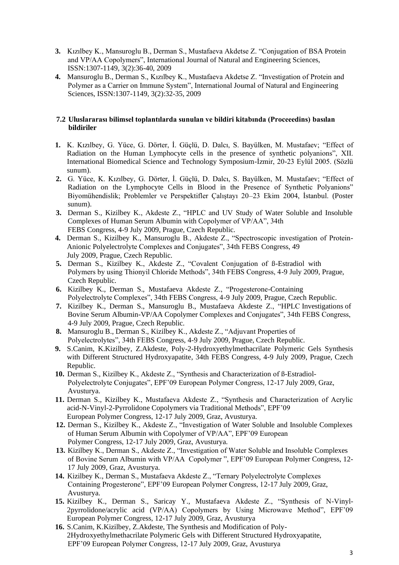- **3.** Kızılbey K., Mansuroglu B., Derman S., Mustafaeva Akdetse Z. "Conjugation of BSA Protein and VP/AA Copolymers", International Journal of Natural and Engineering Sciences, ISSN:1307-1149, 3(2):36-40, 2009
- **4.** Mansuroglu B., Derman S., Kızılbey K., Mustafaeva Akdetse Z. "Investigation of Protein and Polymer as a Carrier on Immune System", International Journal of Natural and Engineering Sciences, ISSN:1307-1149, 3(2):32-35, 2009

#### **7.2 Uluslararası bilimsel toplantılarda sunulan ve bildiri kitabında (Proceeedins) basılan bildiriler**

- **1.** K. Kızılbey, G. Yüce, G. Dörter, İ. Güçlü, D. Dalcı, S. Bayülken, M. Mustafaev; "Effect of Radiation on the Human Lymphocyte cells in the presence of synthetic polyanions", XII. International Biomedical Science and Technology Symposium-İzmir, 20-23 Eylül 2005. (Sözlü sunum).
- **2.** G. Yüce, K. Kızılbey, G. Dörter, İ. Güçlü, D. Dalcı, S. Bayülken, M. Mustafaev; "Effect of Radiation on the Lymphocyte Cells in Blood in the Presence of Synthetic Polyanions" Biyomühendislik; Problemler ve Perspektifler Çalıştayı 20–23 Ekim 2004, İstanbul. (Poster sunum).
- **3.** Derman S., Kizilbey K., Akdeste Z., "HPLC and UV Study of Water Soluble and Insoluble Complexes of Human Serum Albumin with Copolymer of VP/AA", 34th FEBS Congress, 4-9 July 2009, Prague, Czech Republic.
- **4.** Derman S., Kizilbey K., Mansuroglu B., Akdeste Z., "Spectroscopic investigation of Protein-Anionic Polyelectrolyte Complexes and Conjugates", 34th FEBS Congress, 49 July 2009, Prague, Czech Republic.
- **5.** Derman S., Kizilbey K., Akdeste Z., "Covalent Conjugation of ß-Estradiol with Polymers by using Thionyil Chloride Methods", 34th FEBS Congress, 4-9 July 2009, Prague, Czech Republic.
- **6.** Kizilbey K., Derman S., Mustafaeva Akdeste Z., "Progesterone-Containing Polyelectrolyte Complexes", 34th FEBS Congress, 4-9 July 2009, Prague, Czech Republic.
- **7.** Kizilbey K., Derman S., Mansuroglu B., Mustafaeva Akdeste Z., "HPLC Investigations of Bovine Serum Albumin-VP/AA Copolymer Complexes and Conjugates", 34th FEBS Congress, 4-9 July 2009, Prague, Czech Republic.
- **8.** Mansuroglu B., Derman S., Kizilbey K., Akdeste Z., "Adjuvant Properties of Polyelectrolytes", 34th FEBS Congress, 4-9 July 2009, Prague, Czech Republic.
- **9.** S.Canim, K.Kizilbey, Z.Akdeste, Poly-2-Hydroxyethylmethacrilate Polymeric Gels Synthesis with Different Structured Hydroxyapatite, 34th FEBS Congress, 4-9 July 2009, Prague, Czech Republic.
- **10.** Derman S., Kizilbey K., Akdeste Z., "Synthesis and Characterization of ß-Estradiol-Polyelectrolyte Conjugates", EPF'09 European Polymer Congress, 12-17 July 2009, Graz, Avusturya.
- **11.** Derman S., Kizilbey K., Mustafaeva Akdeste Z., "Synthesis and Characterization of Acrylic acid-N-Vinyl-2-Pyrrolidone Copolymers via Traditional Methods", EPF'09 European Polymer Congress, 12-17 July 2009, Graz, Avusturya.
- **12.** Derman S., Kizilbey K., Akdeste Z., "Investigation of Water Soluble and Insoluble Complexes of Human Serum Albumin with Copolymer of VP/AA", EPF'09 European Polymer Congress, 12-17 July 2009, Graz, Avusturya.
- **13.** Kizilbey K., Derman S., Akdeste Z., "Investigation of Water Soluble and Insoluble Complexes of Bovine Serum Albumin with VP/AA Copolymer ", EPF'09 European Polymer Congress, 12- 17 July 2009, Graz, Avusturya.
- **14.** Kizilbey K., Derman S., Mustafaeva Akdeste Z., "Ternary Polyelectrolyte Complexes Containing Progesterone", EPF'09 European Polymer Congress, 12-17 July 2009, Graz, Avusturya.
- **15.** Kizilbey K., Derman S., Saricay Y., Mustafaeva Akdeste Z., "Synthesis of N-Vinyl-2pyrrolidone/acrylic acid (VP/AA) Copolymers by Using Microwave Method", EPF'09 European Polymer Congress, 12-17 July 2009, Graz, Avusturya
- **16.** S.Canim, K.Kizilbey, Z.Akdeste, The Synthesis and Modification of Poly-2Hydroxyethylmethacrilate Polymeric Gels with Different Structured Hydroxyapatite, EPF'09 European Polymer Congress, 12-17 July 2009, Graz, Avusturya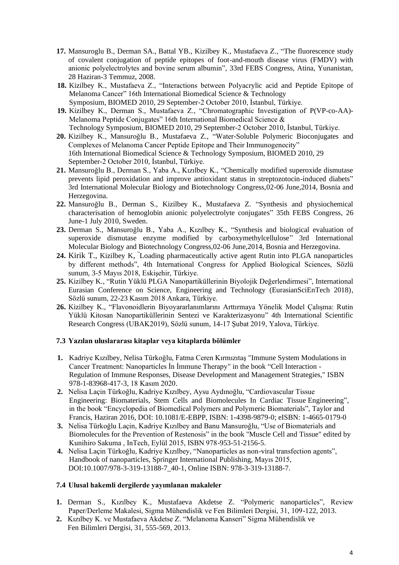- **17.** [Mansuroglu B., D](http://apps.isiknowledge.com/DaisyOneClickSearch.do?product=WOS&search_mode=DaisyOneClickSearch&doc=1&db_id=&SID=V1H54jccGCHLBDM2dN8&name=Mansuroglu%20B&ut=000256633300482&pos=1&cacheurlFromRightClick=no)erman [SA., B](http://apps.isiknowledge.com/DaisyOneClickSearch.do?product=WOS&search_mode=DaisyOneClickSearch&doc=1&db_id=&SID=V1H54jccGCHLBDM2dN8&name=Derman%20SA&ut=000256633300482&pos=2)attal [YB., K](http://apps.isiknowledge.com/DaisyOneClickSearch.do?product=WOS&search_mode=DaisyOneClickSearch&doc=1&db_id=&SID=V1H54jccGCHLBDM2dN8&name=Battal%20YB&ut=000256633300482&pos=3)izilbey [K., M](http://apps.isiknowledge.com/DaisyOneClickSearch.do?product=WOS&search_mode=DaisyOneClickSearch&doc=1&db_id=&SID=V1H54jccGCHLBDM2dN8&name=Kizilbey%20K&ut=000256633300482&pos=4)ustafaeva Z., ["The](http://apps.isiknowledge.com/full_record.do?product=WOS&search_mode=GeneralSearch&qid=2&SID=V1H54jccGCHLBDM2dN8&page=1&doc=1&cacheurlFromRightClick=no) fluorescence study of covalent conjugation of peptide epitopes of foo[t-and-mouth](http://apps.isiknowledge.com/full_record.do?product=WOS&search_mode=GeneralSearch&qid=2&SID=V1H54jccGCHLBDM2dN8&page=1&doc=1&cacheurlFromRightClick=no) [disease virus \(FMDV\) with](http://apps.isiknowledge.com/full_record.do?product=WOS&search_mode=GeneralSearch&qid=2&SID=V1H54jccGCHLBDM2dN8&page=1&doc=1&cacheurlFromRightClick=no)  [anionic polyelectrolytes and bovine serum albumin", 3](http://apps.isiknowledge.com/full_record.do?product=WOS&search_mode=GeneralSearch&qid=2&SID=V1H54jccGCHLBDM2dN8&page=1&doc=1&cacheurlFromRightClick=no)3rd FEBS Congress, Atina, Yunanistan, 28 Haziran-3 Temmuz, 2008.
- **18.** Kizilbey K., Mustafaeva Z., "Interactions between Polyacrylic acid and Peptide Epitope of Melanoma Cancer" 16th International Biomedical Science & Technology Symposium, BIOMED 2010, 29 September-2 October 2010, İstanbul, Türkiye.
- **19.** Kizilbey K., Derman S., Mustafaeva Z., "Chromatographic Investigation of P(VP-co-AA)- Melanoma Peptide Conjugates" 16th International Biomedical Science & Technology Symposium, BIOMED 2010, 29 September-2 October 2010, İstanbul, Türkiye.
- **20.** Kizilbey K., Mansuroğlu B., Mustafaeva Z., "Water-Soluble Polymeric Bioconjugates and Complexes of Melanoma Cancer Peptide Epitope and Their Immunogenecity" 16th International Biomedical Science & Technology Symposium, BIOMED 2010, 29 September-2 October 2010, İstanbul, Türkiye.
- **21.** Mansuroğlu B., Derman S., Yaba A., Kızılbey K., "Chemically modified superoxide dismutase prevents lipid peroxidation and improve antioxidant status in streptozotocin-induced diabets" 3rd International Molecular Biology and Biotechnology Congress,02-06 June,2014, Bosnia and Herzegovina.
- **22.** Mansuroğlu B., Derman S., Kizilbey K., Mustafaeva Z. "Synthesis and physiochemical characterisation of hemoglobin anionic polyelectrolyte conjugates" 35th FEBS Congress, 26 June-1 July 2010, Sweden.
- **23.** Derman S., Mansuroğlu B., Yaba A., Kızılbey K., "Synthesis and biological evaluation of superoxide dismutase enzyme modified by carboxymethylcellulose" 3rd International Molecular Biology and Biotechnology Congress,02-06 June,2014, Bosnia and Herzegovina.
- **24.** Kirik T., Kizilbey K, "Loading pharmaceutically active agent Rutin into PLGA nanoparticles by different methods", 4th International Congress for Applied Biological Sciences, Sözlü sunum, 3-5 Mayıs 2018, Eskişehir, Türkiye.
- **25.** Kizilbey K., "Rutin Yüklü PLGA Nanopartiküllerinin Biyolojik Değerlendirmesi", International Eurasian Conference on Science, Engineering and Technology (EurasianSciEnTech 2018), Sözlü sunum, 22-23 Kasım 2018 Ankara, Türkiye.
- **26.** Kizilbey K., "Flavonoidlerin Biyoyararlanımlarını Arttırmaya Yönelik Model Çalışma: Rutin Yüklü Kitosan Nanopartiküllerinin Sentezi ve Karakterizasyonu" 4th International Scientific Research Congress (UBAK2019), Sözlü sunum, 14-17 Şubat 2019, Yalova, Türkiye.

## **7.3 Yazılan uluslararası kitaplar veya kitaplarda bölümler**

- **1.** Kadriye Kızılbey, Nelisa Türkoğlu, Fatma Ceren Kırmızıtaş "Immune System Modulations in Cancer Treatment: Nanoparticles İn İmmune Therapy" in the book "Cell Interaction - Regulation of Immune Responses, Disease Development and Management Strategies," ISBN 978-1-83968-417-3, 18 Kasım 2020.
- **2.** Nelisa Laçin Türkoğlu, Kadriye Kızılbey, Aysu Aydınoğlu, "Cardiovascular Tissue Engineering: Biomaterials, Stem Cells and Biomolecules In Cardiac Tissue Engineering", in the book "Encyclopedia of Biomedical Polymers and Polymeric Biomaterials", Taylor and Francis, Haziran 2016, DOI: 10.1081/E-EBPP, ISBN: 1-4398-9879-0; eISBN: 1-4665-0179-0
- **3.** Nelisa Türkoğlu Laçin, Kadriye Kızılbey and Banu Mansuroğlu, "Use of Biomaterials and Biomolecules for the Prevention of Restenosis" in the book "Muscle Cell and Tissue" edited by Kunihiro Sakuma , InTech, Eylül 2015, ISBN 978-953-51-2156-5.
- **4.** Nelisa Laçin Türkoğlu, Kadriye Kızılbey, "Nanoparticles as non-viral transfection agents", Handbook of nanoparticles, Springer International Publishing, Mayıs 2015, DOI:10.1007/978-3-319-13188-7\_40-1, Online ISBN: 978-3-319-13188-7.

#### **7.4 Ulusal hakemli dergilerde yayımlanan makaleler**

- **1.** Derman S., Kızılbey K., Mustafaeva Akdetse Z. "Polymeric nanoparticles", Review Paper/Derleme Makalesi, Sigma Mühendislik ve Fen Bilimleri Dergisi, 31, 109-122, 2013.
- **2.** Kızılbey K. ve Mustafaeva Akdetse Z. "Melanoma Kanseri" Sigma Mühendislik ve Fen Bilimleri Dergisi, 31, 555-569, 2013.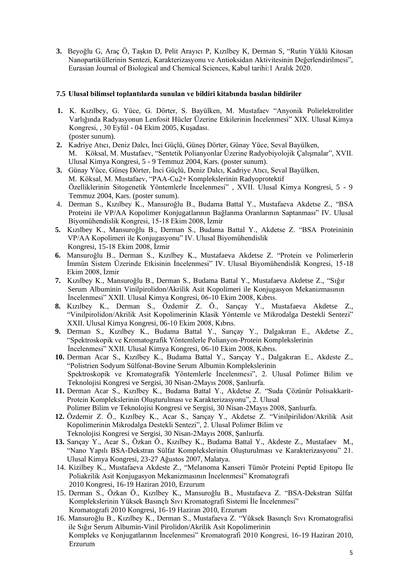**3.** Beyoğlu G, Araç Ö, Taşkın D, Pelit Arayıcı P, Kızılbey K, Derman S, "Rutin Yüklü Kitosan Nanopartiküllerinin Sentezi, Karakterizasyonu ve Antioksidan Aktivitesinin Değerlendirilmesi", Eurasian Journal of Biological and Chemical Sciences, Kabul tarihi:1 Aralık 2020.

## **7.5 Ulusal bilimsel toplantılarda sunulan ve bildiri kitabında basılan bildiriler**

- **1.** K. Kızılbey, G. Yüce, G. Dörter, S. Bayülken, M. Mustafaev "Anyonik Polielektrolitler Varlığında Radyasyonun Lenfosit Hücler Üzerine Etkilerinin İncelenmesi" XIX. Ulusal Kimya Kongresi, , 30 Eylül - 04 Ekim 2005, Kuşadası. (poster sunum).
- **2.** Kadriye Atıcı, Deniz Dalcı, İnci Güçlü, Güneş Dörter, Günay Yüce, Seval Bayülken, M. Köksal, M. Mustafaev, "Sentetik Polianyonlar Üzerine Radyobiyolojik Çalışmalar", XVII. Ulusal Kimya Kongresi, 5 - 9 Temmuz 2004, Kars. (poster sunum).
- **3.** Günay Yüce, Güneş Dörter, İnci Güçlü, Deniz Dalcı, Kadriye Atıcı, Seval Bayülken, M. Köksal, M. Mustafaev, "PAA-Cu2+ Komplekslerinin Radyoprotektif Özelliklerinin Sitogenetik Yöntemlerle İncelenmesi" , XVII. Ulusal Kimya Kongresi, 5 - 9 Temmuz 2004, Kars. (poster sunum).
- 4. Derman S., Kızılbey K., Mansuroğlu B., Budama Battal Y., Mustafaeva Akdetse Z., "BSA Proteini ile VP/AA Kopolimer Konjugatlarının Bağlanma Oranlarının Saptanması" IV. Ulusal Biyomühendislik Kongresi, 15-18 Ekim 2008, İzmir
- **5.** Kızılbey K., Mansuroğlu B., Derman S., Budama Battal Y., Akdetse Z. "BSA Proteininin VP/AA Kopolimeri ile Konjugasyonu" IV. Ulusal Biyomühendislik Kongresi, 15-18 Ekim 2008, İzmir
- **6.** Mansuroğlu B., Derman S., Kızılbey K., Mustafaeva Akdetse Z. "Protein ve Polimerlerin İmmün Sistem Üzerinde Etkisinin İncelenmesi" IV. Ulusal Biyomühendislik Kongresi, 15-18 Ekim 2008, İzmir
- **7.** Kızılbey K., Mansuroğlu B., Derman S., Budama Battal Y., Mustafaeva Akdetse Z., "Sığır Serum Albuminin Vinilpirolidon/Akrilik Asit Kopolimeri ile Konjugasyon Mekanizmasının İncelenmesi" XXII. Ulusal Kimya Kongresi, 06-10 Ekim 2008, Kıbrıs.
- **8.** Kızılbey K., Derman S., Özdemir Z. Ö., Sarıçay Y., Mustafaeva Akdetse Z., "Vinilpirolidon/Akrilik Asit Kopolimerinin Klasik Yöntemle ve Mikrodalga Destekli Sentezi" XXII. Ulusal Kimya Kongresi, 06-10 Ekim 2008, Kıbrıs.
- **9.** Derman S., Kızılbey K., Budama Battal Y., Sarıçay Y., Dalgakıran E., Akdetse Z., "Spektroskopik ve Kromatografik Yöntemlerle Polianyon-Protein Komplekslerinin İncelenmesi" XXII. Ulusal Kimya Kongresi, 06-10 Ekim 2008, Kıbrıs.
- **10.** Derman Acar S., Kızılbey K., Budama Battal Y., Sarıçay Y., Dalgakıran E., Akdeste Z., "Polistrien Sodyum Sülfonat-Bovine Serum Albumin Komplekslerinin Spektroskopik ve Kromatografik Yöntemlerle İncelenmesi", 2. Ulusal Polimer Bilim ve Teknolojisi Kongresi ve Sergisi, 30 Nisan-2Mayıs 2008, Şanlıurfa.
- **11.** Derman Acar S., Kızılbey K., Budama Battal Y., Akdetse Z. "Suda Çözünür Polisakkarit-Protein Komplekslerinin Oluşturulması ve Karakterizasyonu", 2. Ulusal Polimer Bilim ve Teknolojisi Kongresi ve Sergisi, 30 Nisan-2Mayıs 2008, Şanlıurfa.
- **12.** Özdemir Z. Ö., Kızılbey K., Acar S., Sarıçay Y., Akdetse Z. "Vinilpirilidon/Akrilik Asit Kopolimerinin Mikrodalga Destekli Sentezi", 2. Ulusal Polimer Bilim ve Teknolojisi Kongresi ve Sergisi, 30 Nisan-2Mayıs 2008, Şanlıurfa.
- **13.** Sarıçay Y., Acar S., Özkan Ö., Kızılbey K., Budama Battal Y., Akdeste Z., Mustafaev M., "Nano Yapılı BSA-Dekstran Sülfat Komplekslerinin Oluşturulması ve Karakterizasyonu" 21. Ulusal Kimya Kongresi, 23-27 Ağustos 2007, Malatya.
- 14. Kizilbey K., Mustafaeva Akdeste Z., "Melanoma Kanseri Tümör Proteini Peptid Epitopu İle Poliakrilik Asit Konjugasyon Mekanizmasının İncelenmesi" Kromatografi 2010 Kongresi, 16-19 Haziran 2010, Erzurum
- 15. Derman S., Özkan Ö., Kızılbey K., Mansuroğlu B., Mustafaeva Z. "BSA-Dekstran Sülfat Komplekslerinin Yüksek Basınçlı Sıvı Kromatografi Sistemi İle İncelenmesi" Kromatografi 2010 Kongresi, 16-19 Haziran 2010, Erzurum
- 16. Mansuroğlu B., Kızılbey K., Derman S., Mustafaeva Z. "Yüksek Basınçlı Sıvı Kromatografisi ile Sığır Serum Albumin-Vinil Pirolidon/Akrilik Asit Kopolimerinin Kompleks ve Konjugatlarının İncelenmesi" Kromatografi 2010 Kongresi, 16-19 Haziran 2010, Erzurum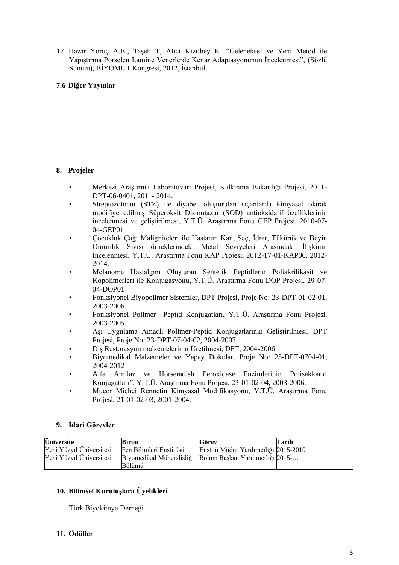17. Hazar Yoruç A.B., Taşeli T, Atıcı Kızılbey K. "Geleneksel ve Yeni Metod ile Yapıştırma Porselen Lamine Venerlerde Kenar Adaptasyonunun İncelenmesi", (Sözlü Sunum), BİYOMUT Kongresi, 2012, İstanbul.

## **7.6 Diğer Yayınlar**

## **8. Projeler**

- Merkezi Araştırma Laboratuvarı Projesi, Kalkınma Bakanlığı Projesi, 2011- DPT-06-0401, 2011- 2014.
- Streptozotocin (STZ) ile diyabet oluşturulan sıçanlarda kimyasal olarak modifiye edilmiş Süperoksit Dismutazın (SOD) antioksidatif özelliklerinin incelenmesi ve geliştirilmesi, Y.T.Ü. Araştırma Fonu GEP Projesi, 2010-07- 04-GEP01
- Çocukluk Çağı Maligniteleri ile Hastanın Kan, Saç, İdrar, Tükürük ve Beyin Omurilik Sıvısı örneklerindeki Metal Seviyeleri Arasındaki İlişkinin İncelenmesi, Y.T.Ü. Araştırma Fonu KAP Projesi, 2012-17-01-KAP06, 2012- 2014.
- Melanoma Hastalğını Oluşturan Sentetik Peptidlerin Poliakrilikasit ve Kopolimerleri ile Konjugasyonu, Y.T.Ü. Araştırma Fonu DOP Projesi, 29-07- 04-DOP01
- Fonksiyonel Biyopolimer Sistemler, DPT Projesi, Proje No: 23-DPT-01-02-01, 2003-2006.
- Fonksiyonel Polimer –Peptid Konjugatları, Y.T.Ü. Araştırma Fonu Projesi, 2003-2005.
- Aşı Uygulama Amaçlı Polimer-Peptid Konjugatlarının Geliştirilmesi, DPT Projesi, Proje No: 23-DPT-07-04-02, 2004-2007.
- Diş Restorasyon malzemelerinin Üretilmesi, DPT, 2004-2006
- Biyomedikal Malzemeler ve Yapay Dokular, Proje No: 25-DPT-0704-01, 2004-2012
- Alfa Amilaz ve Horseradish Peroxidase Enzimlerinin Polisakkarid Konjugatları", Y.T.Ü. Araştırma Fonu Projesi, 23-01-02-04, 2003-2006.
- Mucor Miehei Rennetin Kimyasal Modifikasyonu, Y.T.Ü. Araştırma Fonu Projesi, 21-01-02-03, 2001-2004.

#### **9. İdari Görevler**

| <b>Üniversite</b>        | Birim                                                              | Görev                                | Tarih |
|--------------------------|--------------------------------------------------------------------|--------------------------------------|-------|
| Yeni Yüzyıl Üniversitesi | Fen Bilimleri Enstitüsü                                            | Enstitü Müdür Yardımcılığı 2015-2019 |       |
| Yeni Yüzyıl Üniversitesi | Biyomedikal Mühendisliği Bölüm Başkan Yardımcılığı 2015-<br>Bölümü |                                      |       |

## **10. Bilimsel Kuruluşlara Üyelikleri**

Türk Biyokimya Derneği

## **11. Ödüller**